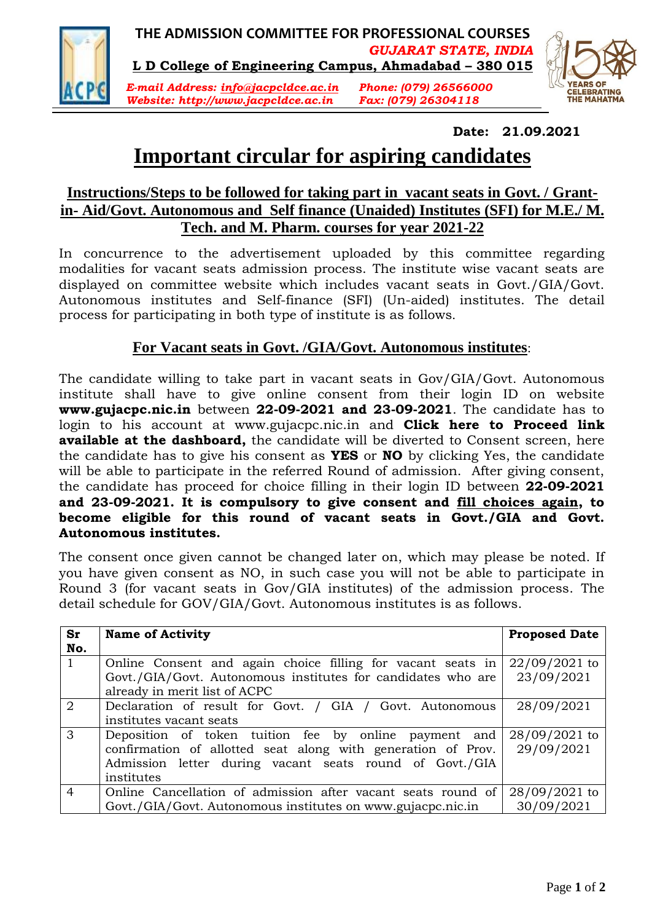

**THE ADMISSION COMMITTEE FOR PROFESSIONAL COURSES** *GUJARAT STATE, INDIA* **L D College of Engineering Campus, Ahmadabad – 380 015**

*E-mail Address: info@jacpcldce.ac.in Phone: (079) 26566000 Website: http://www.jacpcldce.ac.in Fax: (079) 26304118*



### **Date: 21.09.2021**

# **Important circular for aspiring candidates**

### **Instructions/Steps to be followed for taking part in vacant seats in Govt. / Grantin- Aid/Govt. Autonomous and Self finance (Unaided) Institutes (SFI) for M.E./ M. Tech. and M. Pharm. courses for year 2021-22**

In concurrence to the advertisement uploaded by this committee regarding modalities for vacant seats admission process. The institute wise vacant seats are displayed on committee website which includes vacant seats in Govt./GIA/Govt. Autonomous institutes and Self-finance (SFI) (Un-aided) institutes. The detail process for participating in both type of institute is as follows.

## **For Vacant seats in Govt. /GIA/Govt. Autonomous institutes**:

The candidate willing to take part in vacant seats in Gov/GIA/Govt. Autonomous institute shall have to give online consent from their login ID on website **www.gujacpc.nic.in** between **22-09-2021 and 23-09-2021**. The candidate has to login to his account at www.gujacpc.nic.in and **Click here to Proceed link available at the dashboard,** the candidate will be diverted to Consent screen, here the candidate has to give his consent as **YES** or **NO** by clicking Yes, the candidate will be able to participate in the referred Round of admission. After giving consent, the candidate has proceed for choice filling in their login ID between **22-09-2021 and 23-09-2021. It is compulsory to give consent and fill choices again, to become eligible for this round of vacant seats in Govt./GIA and Govt. Autonomous institutes.**

The consent once given cannot be changed later on, which may please be noted. If you have given consent as NO, in such case you will not be able to participate in Round 3 (for vacant seats in Gov/GIA institutes) of the admission process. The detail schedule for GOV/GIA/Govt. Autonomous institutes is as follows.

| Sr<br>No.      | <b>Name of Activity</b>                                                                       | <b>Proposed Date</b> |
|----------------|-----------------------------------------------------------------------------------------------|----------------------|
| $\mathbf{1}$   | Online Consent and again choice filling for vacant seats in                                   | $22/09/2021$ to      |
|                | Govt./GIA/Govt. Autonomous institutes for candidates who are<br>already in merit list of ACPC | 23/09/2021           |
| $\overline{2}$ | Declaration of result for Govt. / GIA / Govt. Autonomous                                      | 28/09/2021           |
|                | institutes vacant seats                                                                       |                      |
| 3              | Deposition of token tuition fee by online payment and                                         | 28/09/2021 to        |
|                | confirmation of allotted seat along with generation of Prov.                                  | 29/09/2021           |
|                | Admission letter during vacant seats round of Govt./GIA                                       |                      |
|                | institutes                                                                                    |                      |
| $\overline{4}$ | Online Cancellation of admission after vacant seats round of                                  | 28/09/2021 to        |
|                | Govt./GIA/Govt. Autonomous institutes on www.gujacpc.nic.in                                   | 30/09/2021           |